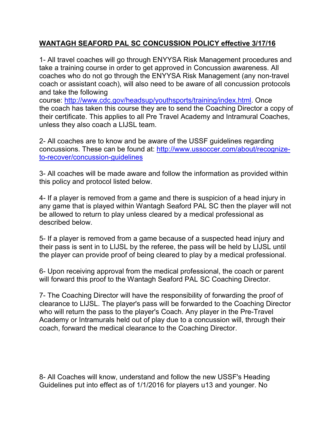## **WANTAGH SEAFORD PAL SC CONCUSSION POLICY effective 3/17/16**

1- All travel coaches will go through ENYYSA Risk Management procedures and take a training course in order to get approved in Concussion awareness. All coaches who do not go through the ENYYSA Risk Management (any non-travel coach or assistant coach), will also need to be aware of all concussion protocols and take the following

course: [http://www.cdc.gov/headsup/youthsports/training/index.html.](http://www.cdc.gov/headsup/youthsports/training/index.html) Once the coach has taken this course they are to send the Coaching Director a copy of their certificate. This applies to all Pre Travel Academy and Intramural Coaches, unless they also coach a LIJSL team.

2- All coaches are to know and be aware of the USSF guidelines regarding concussions. These can be found at: [http://www.ussoccer.com/about/recognize](http://www.ussoccer.com/about/recognize-to-recover/concussion-guidelines)[to-recover/concussion-guidelines](http://www.ussoccer.com/about/recognize-to-recover/concussion-guidelines)

3- All coaches will be made aware and follow the information as provided within this policy and protocol listed below.

4- If a player is removed from a game and there is suspicion of a head injury in any game that is played within Wantagh Seaford PAL SC then the player will not be allowed to return to play unless cleared by a medical professional as described below.

5- If a player is removed from a game because of a suspected head injury and their pass is sent in to LIJSL by the referee, the pass will be held by LIJSL until the player can provide proof of being cleared to play by a medical professional.

6- Upon receiving approval from the medical professional, the coach or parent will forward this proof to the Wantagh Seaford PAL SC Coaching Director.

7- The Coaching Director will have the responsibility of forwarding the proof of clearance to LIJSL. The player's pass will be forwarded to the Coaching Director who will return the pass to the player's Coach. Any player in the Pre-Travel Academy or Intramurals held out of play due to a concussion will, through their coach, forward the medical clearance to the Coaching Director.

8- All Coaches will know, understand and follow the new USSF's Heading Guidelines put into effect as of 1/1/2016 for players u13 and younger. No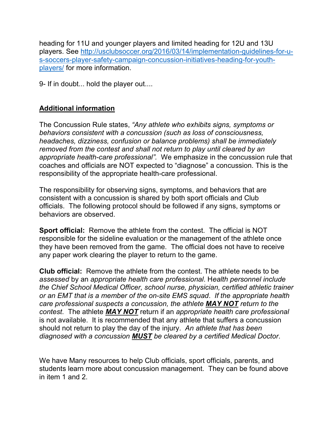heading for 11U and younger players and limited heading for 12U and 13U players. See [http://usclubsoccer.org/2016/03/14/implementation-guidelines-for-u](http://usclubsoccer.org/2016/03/14/implementation-guidelines-for-u-s-soccers-player-safety-campaign-concussion-initiatives-heading-for-youth-players/)[s-soccers-player-safety-campaign-concussion-initiatives-heading-for-youth](http://usclubsoccer.org/2016/03/14/implementation-guidelines-for-u-s-soccers-player-safety-campaign-concussion-initiatives-heading-for-youth-players/)[players/](http://usclubsoccer.org/2016/03/14/implementation-guidelines-for-u-s-soccers-player-safety-campaign-concussion-initiatives-heading-for-youth-players/) for more information.

9- If in doubt... hold the player out....

### **Additional information**

The Concussion Rule states, *"Any athlete who exhibits signs, symptoms or behaviors consistent with a concussion (such as loss of consciousness, headaches, dizziness, confusion or balance problems) shall be immediately removed from the contest and shall not return to play until cleared by an appropriate health-care professional".* We emphasize in the concussion rule that coaches and officials are NOT expected to "diagnose" a concussion. This is the responsibility of the appropriate health-care professional.

The responsibility for observing signs, symptoms, and behaviors that are consistent with a concussion is shared by both sport officials and Club officials. The following protocol should be followed if any signs, symptoms or behaviors are observed.

**Sport official:** Remove the athlete from the contest. The official is NOT responsible for the sideline evaluation or the management of the athlete once they have been removed from the game. The official does not have to receive any paper work clearing the player to return to the game.

**Club official:** Remove the athlete from the contest. The athlete needs to be *assessed* by an *appropriate health care professional*. H*ealth personnel include the Chief School Medical Officer, school nurse, physician, certified athletic trainer or an EMT that is a member of the on-site EMS squad*. *If the appropriate health care professional suspects a concussion, the athlete MAY NOT return to the contest*. The athlete *MAY NOT* return if an *appropriate health care professional* is not available. It is recommended that any athlete that suffers a concussion should not return to play the day of the injury. *An athlete that has been diagnosed with a concussion MUST be cleared by a certified Medical Doctor*.

We have Many resources to help Club officials, sport officials, parents, and students learn more about concussion management. They can be found above in item 1 and 2.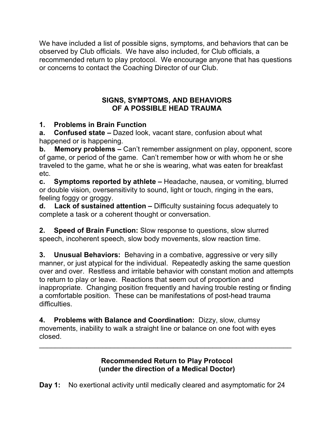We have included a list of possible signs, symptoms, and behaviors that can be observed by Club officials. We have also included, for Club officials, a recommended return to play protocol. We encourage anyone that has questions or concerns to contact the Coaching Director of our Club.

### **SIGNS, SYMPTOMS, AND BEHAVIORS OF A POSSIBLE HEAD TRAUMA**

# **1. Problems in Brain Function**

**a. Confused state –** Dazed look, vacant stare, confusion about what happened or is happening.

**b. Memory problems –** Can't remember assignment on play, opponent, score of game, or period of the game. Can't remember how or with whom he or she traveled to the game, what he or she is wearing, what was eaten for breakfast etc.

**c. Symptoms reported by athlete –** Headache, nausea, or vomiting, blurred or double vision, oversensitivity to sound, light or touch, ringing in the ears, feeling foggy or groggy.

**d. Lack of sustained attention –** Difficulty sustaining focus adequately to complete a task or a coherent thought or conversation.

**2. Speed of Brain Function:** Slow response to questions, slow slurred speech, incoherent speech, slow body movements, slow reaction time.

**3. Unusual Behaviors:** Behaving in a combative, aggressive or very silly manner, or just atypical for the individual. Repeatedly asking the same question over and over. Restless and irritable behavior with constant motion and attempts to return to play or leave. Reactions that seem out of proportion and inappropriate. Changing position frequently and having trouble resting or finding a comfortable position. These can be manifestations of post-head trauma difficulties.

**4. Problems with Balance and Coordination:** Dizzy, slow, clumsy movements, inability to walk a straight line or balance on one foot with eyes closed.

> **Recommended Return to Play Protocol (under the direction of a Medical Doctor)**

\_\_\_\_\_\_\_\_\_\_\_\_\_\_\_\_\_\_\_\_\_\_\_\_\_\_\_\_\_\_\_\_\_\_\_\_\_\_\_\_\_\_\_\_\_\_\_\_\_\_\_\_\_\_\_\_\_\_\_\_\_\_\_\_

**Day 1:** No exertional activity until medically cleared and asymptomatic for 24